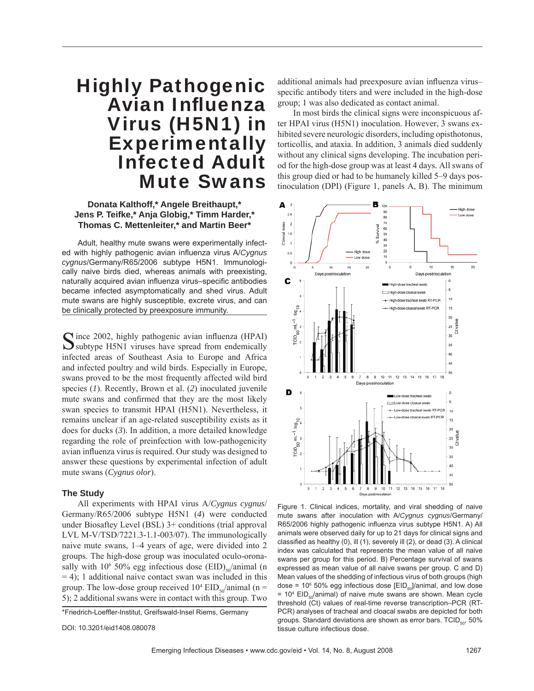# Highly Pathogenic Avian Influenza Virus (H5N1) in **Experimentally** Infected Adult Mute Swans

**Donata Kalthoff,\* Angele Breithaupt,\* Jens P. Teifke,\* Anja Globig,\* Timm Harder,\* Thomas C. Mettenleiter,\* and Martin Beer\***

Adult, healthy mute swans were experimentally infected with highly pathogenic avian influenza virus A/*Cygnus cygnus*/Germany/R65/2006 subtype H5N1. Immunologically naive birds died, whereas animals with preexisting, naturally acquired avian influenza virus-specific antibodies became infected asymptomatically and shed virus. Adult mute swans are highly susceptible, excrete virus, and can be clinically protected by preexposure immunity.

Cince 2002, highly pathogenic avian influenza (HPAI)  $\sum$  subtype H5N1 viruses have spread from endemically infected areas of Southeast Asia to Europe and Africa and infected poultry and wild birds. Especially in Europe, swans proved to be the most frequently affected wild bird species (*1*). Recently, Brown et al. (*2*) inoculated juvenile mute swans and confirmed that they are the most likely swan species to transmit HPAI (H5N1). Nevertheless, it remains unclear if an age-related susceptibility exists as it does for ducks (*3*). In addition, a more detailed knowledge regarding the role of preinfection with low-pathogenicity avian influenza virus is required. Our study was designed to answer these questions by experimental infection of adult mute swans (*Cygnus olor*).

#### **The Study**

All experiments with HPAI virus A/*Cygnus cygnus*/ Germany/R65/2006 subtype H5N1 (*4*) were conducted under Biosaftey Level (BSL) 3+ conditions (trial approval LVL M-V/TSD/7221.3-1.1-003/07). The immunologically naive mute swans, 1–4 years of age, were divided into 2 groups. The high-dose group was inoculated oculo-oronasally with  $10^6$  50% egg infectious dose  $(EID)_{50}$ /animal (n  $= 4$ ); 1 additional naive contact swan was included in this group. The low-dose group received  $10^4$  EID<sub>50</sub>/animal (n = 5); 2 additional swans were in contact with this group. Two

\*Friedrich-Loeffler-Institut, Greifswald-Insel Riems, Germany

DOI: 10.3201/eid1408.080078

additional animals had preexposure avian influenza virusspecific antibody titers and were included in the high-dose group; 1 was also dedicated as contact animal.

In most birds the clinical signs were inconspicuous after HPAI virus (H5N1) inoculation. However, 3 swans exhibited severe neurologic disorders, including opisthotonus, torticollis, and ataxia. In addition, 3 animals died suddenly without any clinical signs developing. The incubation period for the high-dose group was at least 4 days. All swans of this group died or had to be humanely killed 5–9 days postinoculation (DPI) (Figure 1, panels A, B). The minimum



Figure 1. Clinical indices, mortality, and viral shedding of naive mute swans after inoculation with A/*Cygnus cygnus*/Germany/ R65/2006 highly pathogenic influenza virus subtype H5N1. A) All animals were observed daily for up to 21 days for clinical signs and classified as healthy (0), ill (1), severely ill (2), or dead (3). A clinical index was calculated that represents the mean value of all naive swans per group for this period. B) Percentage survival of swans expressed as mean value of all naive swans per group. C and D) Mean values of the shedding of infectious virus of both groups (high dose = 10 $\textdegree$  50% egg infectious dose [EID<sub>50</sub>]/animal, and low dose  $= 10<sup>4</sup>$  EID<sub>50</sub>/animal) of naive mute swans are shown. Mean cycle threshold (Ct) values of real-time reverse transcription–PCR (RT-PCR) analyses of tracheal and cloacal swabs are depicted for both groups. Standard deviations are shown as error bars.  $TCID_{50}$ , 50% tissue culture infectious dose.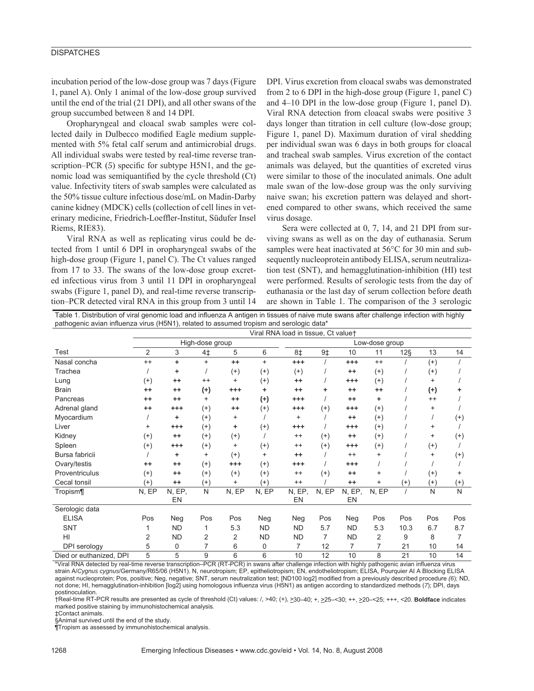## **DISPATCHES**

incubation period of the low-dose group was 7 days (Figure 1, panel A). Only 1 animal of the low-dose group survived until the end of the trial (21 DPI), and all other swans of the group succumbed between 8 and 14 DPI.

Oropharyngeal and cloacal swab samples were collected daily in Dulbecco modified Eagle medium supplemented with 5% fetal calf serum and antimicrobial drugs. All individual swabs were tested by real-time reverse transcription–PCR  $(5)$  specific for subtype H5N1, and the genomic load was semiquantified by the cycle threshold (Ct) value. Infectivity titers of swab samples were calculated as the 50% tissue culture infectious dose/mL on Madin-Darby canine kidney (MDCK) cells (collection of cell lines in veterinary medicine, Friedrich-Loeffler-Institut, Südufer Insel Riems, RIE83).

Viral RNA as well as replicating virus could be detected from 1 until 6 DPI in oropharyngeal swabs of the high-dose group (Figure 1, panel C). The Ct values ranged from 17 to 33. The swans of the low-dose group excreted infectious virus from 3 until 11 DPI in oropharyngeal swabs (Figure 1, panel D), and real-time reverse transcription–PCR detected viral RNA in this group from 3 until 14 DPI. Virus excretion from cloacal swabs was demonstrated from 2 to 6 DPI in the high-dose group (Figure 1, panel C) and 4–10 DPI in the low-dose group (Figure 1, panel D). Viral RNA detection from cloacal swabs were positive 3 days longer than titration in cell culture (low-dose group; Figure 1, panel D). Maximum duration of viral shedding per individual swan was 6 days in both groups for cloacal and tracheal swab samples. Virus excretion of the contact animals was delayed, but the quantities of excreted virus were similar to those of the inoculated animals. One adult male swan of the low-dose group was the only surviving naive swan; his excretion pattern was delayed and shortened compared to other swans, which received the same virus dosage.

Sera were collected at 0, 7, 14, and 21 DPI from surviving swans as well as on the day of euthanasia. Serum samples were heat inactivated at 56°C for 30 min and subsequently nucleoprotein antibody ELISA, serum neutralization test (SNT), and hemagglutination-inhibition (HI) test were performed. Results of serologic tests from the day of euthanasia or the last day of serum collection before death are shown in Table 1. The comparison of the 3 serologic

Table 1. Distribution of viral genomic load and influenza A antigen in tissues of naive mute swans after challenge infection with highly pathogenic avian influenza virus (H5N1), related to assumed tropism and serologic data\*

|                         | Viral RNA load in tissue, Ct valuet |              |              |           |                |              |                |              |           |          |           |           |
|-------------------------|-------------------------------------|--------------|--------------|-----------|----------------|--------------|----------------|--------------|-----------|----------|-----------|-----------|
|                         | High-dose group                     |              |              |           | Low-dose group |              |                |              |           |          |           |           |
| Test                    | 2                                   | 3            | 4‡           | 5         | 6              | 8‡           | 9 <sup>†</sup> | 10           | 11        | $12\S$   | 13        | 14        |
| Nasal concha            | $^{++}$                             | ٠            | $^{+}$       | $++$      | $^{+}$         | $^{+++}$     |                | $^{+++}$     | $^{++}$   |          | $^{(+)}$  |           |
| Trachea                 |                                     | ٠            |              | $^{(+)}$  | $^{(+)}$       | $^{(+)}$     |                | $++$         | $^{(+)}$  |          | $^{(+)}$  |           |
| Lung                    | $^{(+)}$                            | $^{++}$      | $^{++}$      | $\ddot{}$ | $^{(+)}$       | $^{++}$      |                | $^{+++}$     | $^{(+)}$  |          | $\ddot{}$ |           |
| <b>Brain</b>            | $^{++}$                             | $^{++}$      | $^{(+)}$     | $^{+++}$  | ٠              | $++$         | ٠              | $^{++}$      | $^{++}$   |          | $^{(+)}$  | ٠         |
| Pancreas                | $^{++}$                             | $^{++}$      | $\ddot{}$    | $++$      | $^{(+)}$       | $^{++}$      |                | $++$         | ٠         |          | $++$      |           |
| Adrenal gland           | $^{++}$                             | $^{+++}$     | $(+)$        | $++$      | $^{(+)}$       | $^{++}$      | $^{(+)}$       | $^{+++}$     | $^{(+)}$  |          | $\ddot{}$ |           |
| Myocardium              |                                     | ٠            | $^{(+)}$     | $\ddot{}$ |                | $\ddot{}$    |                | $++$         | $^{(+)}$  |          |           | $^{(+)}$  |
| Liver                   | $\ddot{}$                           | $^{+++}$     | $^{(+)}$     | ٠         | $^{(+)}$       | $^{++}$      |                | $^{+++}$     | $^{(+)}$  |          | $\ddot{}$ |           |
| Kidney                  | $^{(+)}$                            | $^{++}$      | $^{(+)}$     | $^{(+)}$  |                | $^{++}$      | $^{(+)}$       | $++$         | $^{(+)}$  |          | $\ddot{}$ | $^{(+)}$  |
| Spleen                  | $^{(+)}$                            | $^{+++}$     | $^{(+)}$     | $\ddot{}$ | $^{(+)}$       | $^{++}$      | $^{(+)}$       | $^{+++}$     | $^{(+)}$  |          | $^{(+)}$  |           |
| Bursa fabricii          |                                     | ٠            | $\ddot{}$    | $^{(+)}$  | $\ddot{}$      | $^{++}$      |                | $^{++}$      | $\ddot{}$ |          | $\ddot{}$ | $^{(+)}$  |
| Ovary/testis            | $^{++}$                             | $^{++}$      | $^{(+)}$     | $^{++}$   | $^{(+)}$       | $^{++}$      |                | $^{+++}$     |           |          |           |           |
| Proventriculus          | $^{(+)}$                            | $^{++}$      | $^{(+)}$     | $^{(+)}$  | $^{(+)}$       | $^{++}$      | $^{(+)}$       | $^{++}$      | $\ddot{}$ |          | $^{(+)}$  | $\ddot{}$ |
| Cecal tonsil            | $^{(+)}$                            | $^{++}$      | $^{(+)}$     | $\ddot{}$ | $^{(+)}$       | $++$         |                | $^{++}$      | $\ddot{}$ | $^{(+)}$ | $^{(+)}$  | $^{(+)}$  |
| Tropism¶                | N, EP                               | N, EP,<br>EN | $\mathsf{N}$ | N, EP     | N, EP          | N, EP,<br>EN | N, EP          | N, EP,<br>EN | N, EP     |          | N         | N         |
| Serologic data          |                                     |              |              |           |                |              |                |              |           |          |           |           |
| <b>ELISA</b>            | Pos                                 | Neg          | Pos          | Pos       | Neg            | Neg          | Pos            | Neg          | Pos       | Pos      | Pos       | Pos       |
| <b>SNT</b>              |                                     | <b>ND</b>    | 1            | 5.3       | <b>ND</b>      | <b>ND</b>    | 5.7            | <b>ND</b>    | 5.3       | 10.3     | 6.7       | 8.7       |
| HI                      | 2                                   | <b>ND</b>    | 2            | 2         | <b>ND</b>      | <b>ND</b>    | 7              | <b>ND</b>    | 2         | 9        | 8         | 7         |
| DPI serology            | 5                                   | 0            | 7            | 6         | 0              | 7            | 12             | 7            | 7         | 21       | 10        | 14        |
| Died or euthanized, DPI | 5                                   | 5            | 9            | 6         | 6              | 10           | 12             | 10           | 8         | 21       | 10        | 14        |

\*Viral RNA detected by real-time reverse transcription–PCR (RT-PCR) in swans after challenge infection with highly pathogenic avian influenza virus strain A/*Cygnus cygnus*/Germany/R65/06 (H5N1). N, neurotropism; EP, epitheliotropism; EN, endotheliotropism; ELISA, Pourquier AI A Blocking ELISA against nucleoprotein; Pos, positive; Neg, negative; SNT, serum neutralization test; [ND100 log2] modified from a previously described procedure *(6*); ND, not done; HI, hemagglutination-inhibition [log2] using homologous influenza virus (H5N1) as antigen according to standardized methods (*7*); DPI, days postinoculation.

†Real-time RT-PCR results are presented as cycle of threshold (Ct) values: /, >40; (+), >30–40; +, >25–<30; ++, >20–<25; +++, <20. **Boldface** indicates marked positive staining by immunohistochemical analysis.

‡Contact animals.

§Animal survived until the end of the study.

¶Tropism as assessed by immunohistochemical analysis.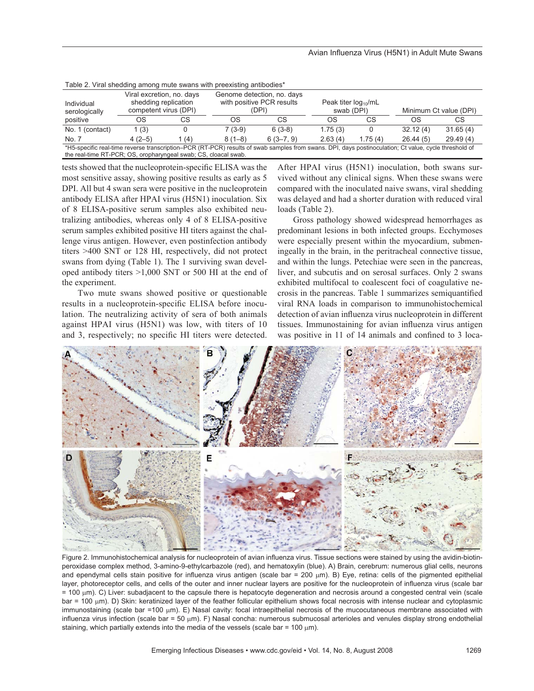| Table 2. Vital Sticularly arrivity multe swarts with preckising artibourcs                                                                            |                                                                            |      |          |                                                                  |                                        |         |                        |          |  |  |
|-------------------------------------------------------------------------------------------------------------------------------------------------------|----------------------------------------------------------------------------|------|----------|------------------------------------------------------------------|----------------------------------------|---------|------------------------|----------|--|--|
| Individual<br>serologically                                                                                                                           | Viral excretion, no. days<br>shedding replication<br>competent virus (DPI) |      |          | Genome detection, no. days<br>with positive PCR results<br>(DPI) | Peak titer $log_{10}/mL$<br>swab (DPI) |         | Minimum Ct value (DPI) |          |  |  |
| positive                                                                                                                                              | OS                                                                         | СS   | OS       | СS                                                               | OS                                     | СS      | OS                     | СS       |  |  |
| No. 1 (contact)                                                                                                                                       | 1 (3)                                                                      |      | $7(3-9)$ | $6(3-8)$                                                         | 1.75(3)                                |         | 32.12(4)               | 31.65(4) |  |  |
| No. 7                                                                                                                                                 | $4(2-5)$                                                                   | 1(4) | $8(1-8)$ | $6(3 - 7, 9)$                                                    | 2.63(4)                                | 1.75(4) | 26.44(5)               | 29.49(4) |  |  |
| *H5-specific real-time reverse transcription–PCR (RT-PCR) results of swab samples from swans. DPI, davs postinoculation: Ct value, cycle threshold of |                                                                            |      |          |                                                                  |                                        |         |                        |          |  |  |

Table 2. Viral shedding among mute swans with preexisting antibodies\*

\*H5-specific real-time reverse transcription–PCR (RT-PCR) results of swab samples from swans. DPI, days postinoculation; Ct value, cycle threshold of the real-time RT-PCR; OS, oropharyngeal swab; CS, cloacal swab.

tests showed that the nucleoprotein-specific ELISA was the most sensitive assay, showing positive results as early as 5 DPI. All but 4 swan sera were positive in the nucleoprotein antibody ELISA after HPAI virus (H5N1) inoculation. Six of 8 ELISA-positive serum samples also exhibited neutralizing antibodies, whereas only 4 of 8 ELISA-positive serum samples exhibited positive HI titers against the challenge virus antigen. However, even postinfection antibody titers >400 SNT or 128 HI, respectively, did not protect swans from dying (Table 1). The 1 surviving swan developed antibody titers >1,000 SNT or 500 HI at the end of the experiment.

Two mute swans showed positive or questionable results in a nucleoprotein-specific ELISA before inoculation. The neutralizing activity of sera of both animals against HPAI virus (H5N1) was low, with titers of 10 and 3, respectively; no specific HI titers were detected.

After HPAI virus (H5N1) inoculation, both swans survived without any clinical signs. When these swans were compared with the inoculated naive swans, viral shedding was delayed and had a shorter duration with reduced viral loads (Table 2).

Gross pathology showed widespread hemorrhages as predominant lesions in both infected groups. Ecchymoses were especially present within the myocardium, submeningeally in the brain, in the peritracheal connective tissue, and within the lungs. Petechiae were seen in the pancreas, liver, and subcutis and on serosal surfaces. Only 2 swans exhibited multifocal to coalescent foci of coagulative necrosis in the pancreas. Table 1 summarizes semiquantified viral RNA loads in comparison to immunohistochemical detection of avian influenza virus nucleoprotein in different tissues. Immunostaining for avian influenza virus antigen was positive in 11 of 14 animals and confined to 3 loca-



Figure 2. Immunohistochemical analysis for nucleoprotein of avian influenza virus. Tissue sections were stained by using the avidin-biotinperoxidase complex method, 3-amino-9-ethylcarbazole (red), and hematoxylin (blue). A) Brain, cerebrum: numerous glial cells, neurons and ependymal cells stain positive for influenza virus antigen (scale bar = 200  $\mu$ m). B) Eye, retina: cells of the pigmented epithelial layer, photoreceptor cells, and cells of the outer and inner nuclear layers are positive for the nucleoprotein of influenza virus (scale bar = 100 μm). C) Liver: subadjacent to the capsule there is hepatocyte degeneration and necrosis around a congested central vein (scale bar = 100 μm). D) Skin: keratinized layer of the feather follicular epithelium shows focal necrosis with intense nuclear and cytoplasmic immunostaining (scale bar =100 μm). E) Nasal cavity: focal intraepithelial necrosis of the mucocutaneous membrane associated with influenza virus infection (scale bar = 50  $\mu$ m). F) Nasal concha: numerous submucosal arterioles and venules display strong endothelial staining, which partially extends into the media of the vessels (scale bar =  $100 \mu m$ ).